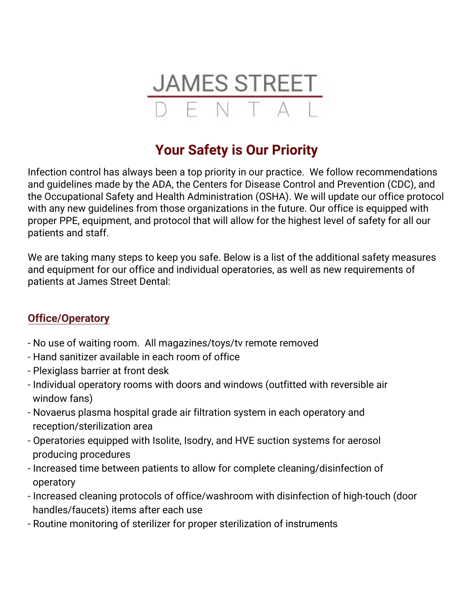

## **Your Safety is Our Priority**

Infection control has always been a top priority in our practice. We follow recommendations and guidelines made by the ADA, the Centers for Disease Control and Prevention (CDC), and the Occupational Safety and Health Administration (OSHA). We will update our office protocol with any new guidelines from those organizations in the future. Our office is equipped with proper PPE, equipment, and protocol that will allow for the highest level of safety for all our patients and staff.

We are taking many steps to keep you safe. Below is a list of the additional safety measures and equipment for our office and individual operatories, as well as new requirements of patients at James Street Dental:

## **Office/Operatory**

- No use of waiting room. All magazines/toys/tv remote removed
- Hand sanitizer available in each room of office
- Plexiglass barrier at front desk
- Individual operatory rooms with doors and windows (outfitted with reversible air window fans)
- Novaerus plasma hospital grade air filtration system in each operatory and reception/sterilization area
- Operatories equipped with Isolite, Isodry, and HVE suction systems for aerosol producing procedures
- Increased time between patients to allow for complete cleaning/disinfection of operatory
- Increased cleaning protocols of office/washroom with disinfection of high-touch (door handles/faucets) items after each use
- Routine monitoring of sterilizer for proper sterilization of instruments